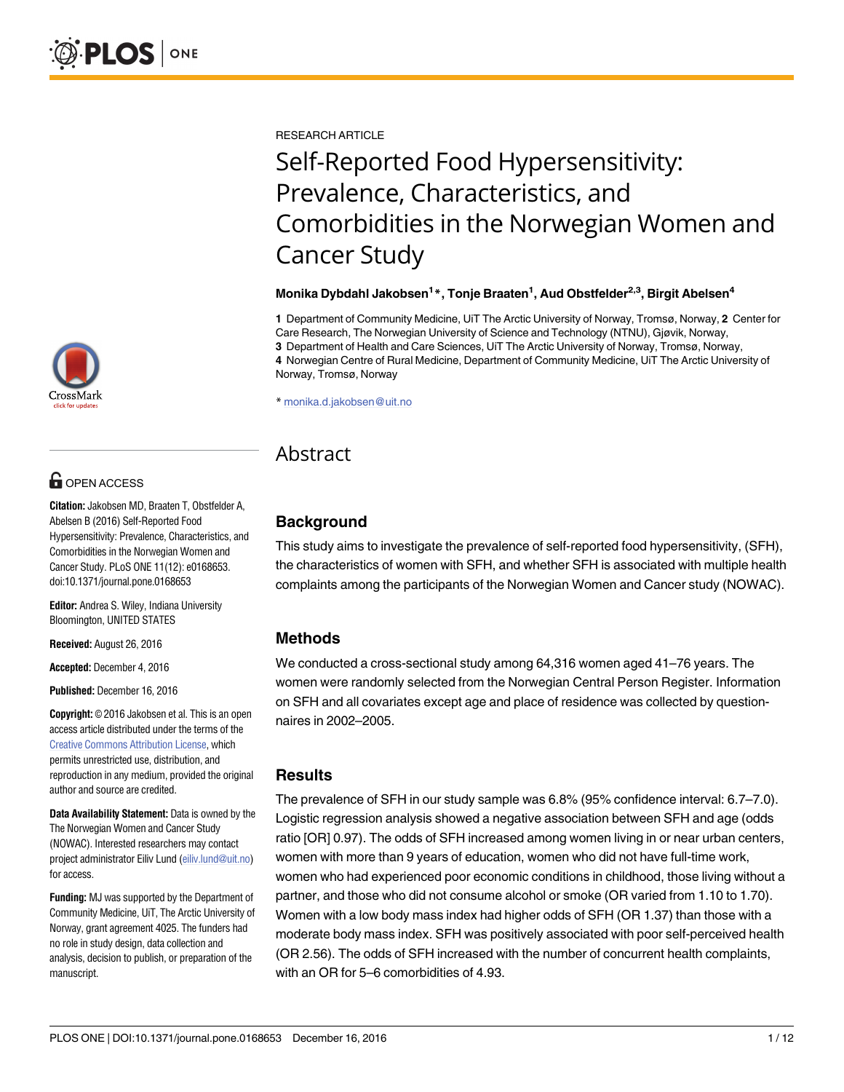[a11111](http://crossmark.crossref.org/dialog/?doi=10.1371/journal.pone.0168653&domain=pdf)

# **OPEN ACCESS**

**Citation:** Jakobsen MD, Braaten T, Obstfelder A, Abelsen B (2016) Self-Reported Food Hypersensitivity: Prevalence, Characteristics, and Comorbidities in the Norwegian Women and Cancer Study. PLoS ONE 11(12): e0168653. doi:10.1371/journal.pone.0168653

**Editor:** Andrea S. Wiley, Indiana University Bloomington, UNITED STATES

**Received:** August 26, 2016

**Accepted:** December 4, 2016

**Published:** December 16, 2016

**Copyright:** © 2016 Jakobsen et al. This is an open access article distributed under the terms of the Creative Commons [Attribution](http://creativecommons.org/licenses/by/4.0/) License, which permits unrestricted use, distribution, and reproduction in any medium, provided the original author and source are credited.

**Data Availability Statement:** Data is owned by the The Norwegian Women and Cancer Study (NOWAC). Interested researchers may contact project administrator Eiliv Lund [\(eiliv.lund@uit.no](mailto:eiliv.lund@uit.no)) for access.

**Funding:** MJ was supported by the Department of Community Medicine, UiT, The Arctic University of Norway, grant agreement 4025. The funders had no role in study design, data collection and analysis, decision to publish, or preparation of the manuscript.

RESEARCH ARTICLE

# Self-Reported Food Hypersensitivity: Prevalence, Characteristics, and Comorbidities in the Norwegian Women and Cancer Study

#### **Monika Dybdahl Jakobsen1 \*, Tonje Braaten1 , Aud Obstfelder2,3, Birgit Abelsen4**

**1** Department of Community Medicine, UiT The Arctic University of Norway, Tromsø, Norway, **2** Center for Care Research, The Norwegian University of Science and Technology (NTNU), Gjøvik, Norway, **3** Department of Health and Care Sciences, UiT The Arctic University of Norway, Tromsø, Norway,

**4** Norwegian Centre of Rural Medicine, Department of Community Medicine, UiT The Arctic University of Norway, Tromsø, Norway

\* monika.d.jakobsen@uit.no

# Abstract

# **Background**

This study aims to investigate the prevalence of self-reported food hypersensitivity, (SFH), the characteristics of women with SFH, and whether SFH is associated with multiple health complaints among the participants of the Norwegian Women and Cancer study (NOWAC).

## **Methods**

We conducted a cross-sectional study among 64,316 women aged 41–76 years. The women were randomly selected from the Norwegian Central Person Register. Information on SFH and all covariates except age and place of residence was collected by questionnaires in 2002–2005.

## **Results**

The prevalence of SFH in our study sample was 6.8% (95% confidence interval: 6.7–7.0). Logistic regression analysis showed a negative association between SFH and age (odds ratio [OR] 0.97). The odds of SFH increased among women living in or near urban centers, women with more than 9 years of education, women who did not have full-time work, women who had experienced poor economic conditions in childhood, those living without a partner, and those who did not consume alcohol or smoke (OR varied from 1.10 to 1.70). Women with a low body mass index had higher odds of SFH (OR 1.37) than those with a moderate body mass index. SFH was positively associated with poor self-perceived health (OR 2.56). The odds of SFH increased with the number of concurrent health complaints, with an OR for 5–6 comorbidities of 4.93.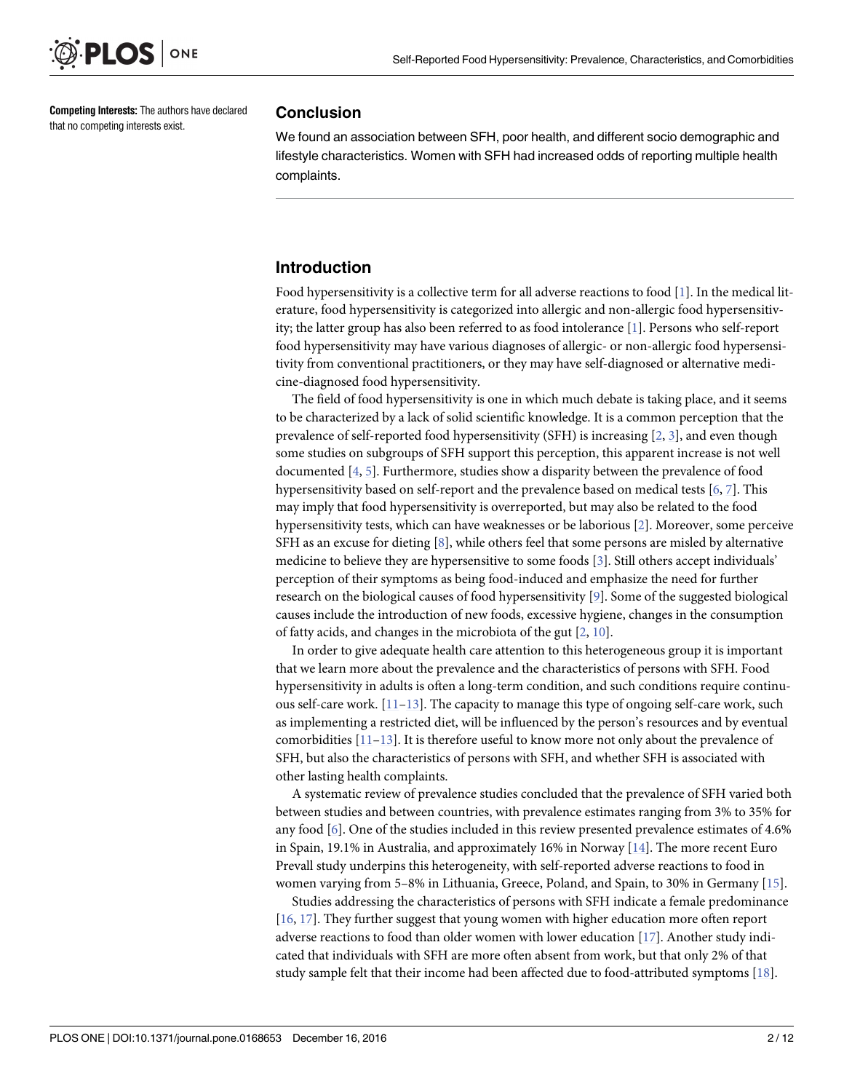<span id="page-1-0"></span>

**Competing Interests:** The authors have declared that no competing interests exist.

#### **Conclusion**

We found an association between SFH, poor health, and different socio demographic and lifestyle characteristics. Women with SFH had increased odds of reporting multiple health complaints.

#### **Introduction**

Food hypersensitivity is a collective term for all adverse reactions to food [[1](#page-9-0)]. In the medical literature, food hypersensitivity is categorized into allergic and non-allergic food hypersensitivity; the latter group has also been referred to as food intolerance [\[1](#page-9-0)]. Persons who self-report food hypersensitivity may have various diagnoses of allergic- or non-allergic food hypersensitivity from conventional practitioners, or they may have self-diagnosed or alternative medicine-diagnosed food hypersensitivity.

The field of food hypersensitivity is one in which much debate is taking place, and it seems to be characterized by a lack of solid scientific knowledge. It is a common perception that the prevalence of self-reported food hypersensitivity (SFH) is increasing [[2,](#page-9-0) [3\]](#page-9-0), and even though some studies on subgroups of SFH support this perception, this apparent increase is not well documented [[4,](#page-9-0) [5\]](#page-9-0). Furthermore, studies show a disparity between the prevalence of food hypersensitivity based on self-report and the prevalence based on medical tests [\[6](#page-9-0), [7](#page-9-0)]. This may imply that food hypersensitivity is overreported, but may also be related to the food hypersensitivity tests, which can have weaknesses or be laborious [\[2\]](#page-9-0). Moreover, some perceive SFH as an excuse for dieting  $[8]$ , while others feel that some persons are misled by alternative medicine to believe they are hypersensitive to some foods [\[3\]](#page-9-0). Still others accept individuals' perception of their symptoms as being food-induced and emphasize the need for further research on the biological causes of food hypersensitivity [[9](#page-9-0)]. Some of the suggested biological causes include the introduction of new foods, excessive hygiene, changes in the consumption of fatty acids, and changes in the microbiota of the gut [[2](#page-9-0), [10](#page-9-0)].

In order to give adequate health care attention to this heterogeneous group it is important that we learn more about the prevalence and the characteristics of persons with SFH. Food hypersensitivity in adults is often a long-term condition, and such conditions require continuous self-care work.  $[11-13]$ . The capacity to manage this type of ongoing self-care work, such as implementing a restricted diet, will be influenced by the person's resources and by eventual comorbidities  $[11-13]$ . It is therefore useful to know more not only about the prevalence of SFH, but also the characteristics of persons with SFH, and whether SFH is associated with other lasting health complaints.

A systematic review of prevalence studies concluded that the prevalence of SFH varied both between studies and between countries, with prevalence estimates ranging from 3% to 35% for any food [\[6](#page-9-0)]. One of the studies included in this review presented prevalence estimates of 4.6% in Spain, 19.1% in Australia, and approximately 16% in Norway [[14](#page-9-0)]. The more recent Euro Prevall study underpins this heterogeneity, with self-reported adverse reactions to food in women varying from 5–8% in Lithuania, Greece, Poland, and Spain, to 30% in Germany [\[15\]](#page-10-0).

Studies addressing the characteristics of persons with SFH indicate a female predominance [\[16,](#page-10-0) [17\]](#page-10-0). They further suggest that young women with higher education more often report adverse reactions to food than older women with lower education [\[17\]](#page-10-0). Another study indicated that individuals with SFH are more often absent from work, but that only 2% of that study sample felt that their income had been affected due to food-attributed symptoms [\[18\]](#page-10-0).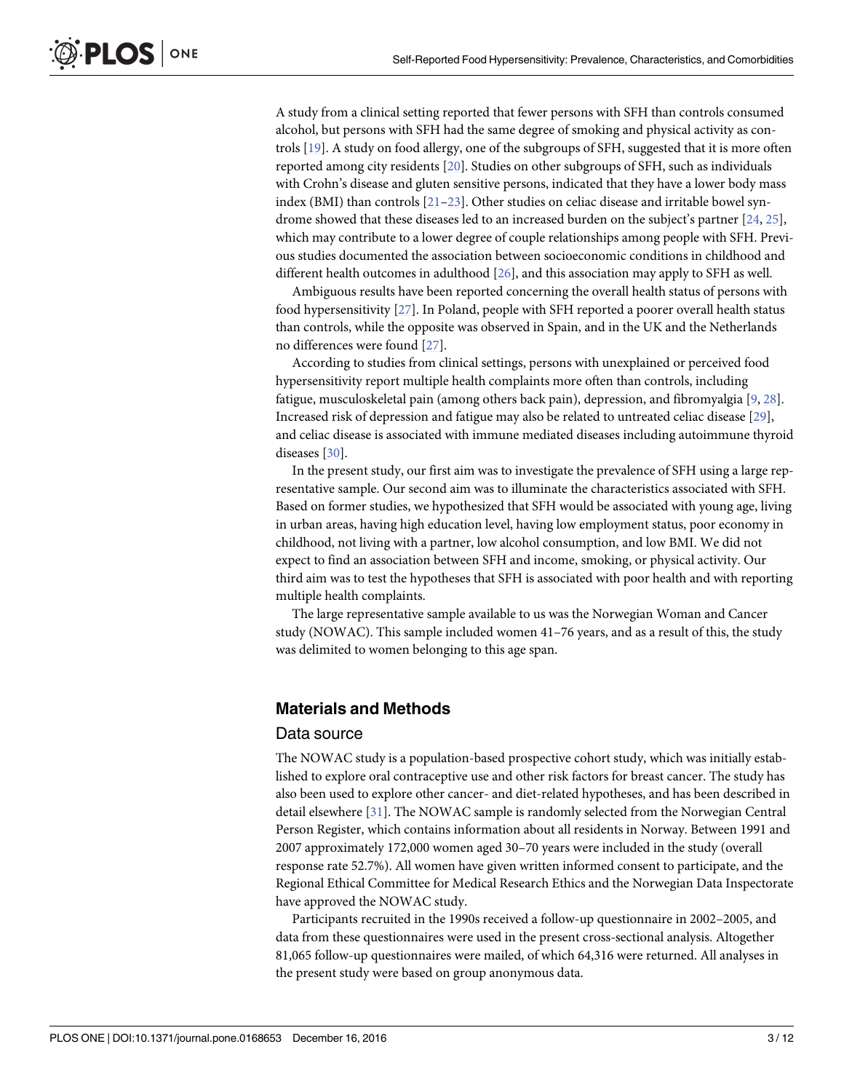<span id="page-2-0"></span>A study from a clinical setting reported that fewer persons with SFH than controls consumed alcohol, but persons with SFH had the same degree of smoking and physical activity as controls [\[19\]](#page-10-0). A study on food allergy, one of the subgroups of SFH, suggested that it is more often reported among city residents [[20](#page-10-0)]. Studies on other subgroups of SFH, such as individuals with Crohn's disease and gluten sensitive persons, indicated that they have a lower body mass index (BMI) than controls [\[21–23](#page-10-0)]. Other studies on celiac disease and irritable bowel syndrome showed that these diseases led to an increased burden on the subject's partner [[24](#page-10-0), [25](#page-10-0)], which may contribute to a lower degree of couple relationships among people with SFH. Previous studies documented the association between socioeconomic conditions in childhood and different health outcomes in adulthood [\[26\]](#page-10-0), and this association may apply to SFH as well.

Ambiguous results have been reported concerning the overall health status of persons with food hypersensitivity [\[27\]](#page-10-0). In Poland, people with SFH reported a poorer overall health status than controls, while the opposite was observed in Spain, and in the UK and the Netherlands no differences were found [\[27\]](#page-10-0).

According to studies from clinical settings, persons with unexplained or perceived food hypersensitivity report multiple health complaints more often than controls, including fatigue, musculoskeletal pain (among others back pain), depression, and fibromyalgia [[9,](#page-9-0) [28\]](#page-10-0). Increased risk of depression and fatigue may also be related to untreated celiac disease [[29](#page-10-0)], and celiac disease is associated with immune mediated diseases including autoimmune thyroid diseases [\[30\]](#page-10-0).

In the present study, our first aim was to investigate the prevalence of SFH using a large representative sample. Our second aim was to illuminate the characteristics associated with SFH. Based on former studies, we hypothesized that SFH would be associated with young age, living in urban areas, having high education level, having low employment status, poor economy in childhood, not living with a partner, low alcohol consumption, and low BMI. We did not expect to find an association between SFH and income, smoking, or physical activity. Our third aim was to test the hypotheses that SFH is associated with poor health and with reporting multiple health complaints.

The large representative sample available to us was the Norwegian Woman and Cancer study (NOWAC). This sample included women 41–76 years, and as a result of this, the study was delimited to women belonging to this age span.

## **Materials and Methods**

#### Data source

The NOWAC study is a population-based prospective cohort study, which was initially established to explore oral contraceptive use and other risk factors for breast cancer. The study has also been used to explore other cancer- and diet-related hypotheses, and has been described in detail elsewhere [[31](#page-10-0)]. The NOWAC sample is randomly selected from the Norwegian Central Person Register, which contains information about all residents in Norway. Between 1991 and 2007 approximately 172,000 women aged 30–70 years were included in the study (overall response rate 52.7%). All women have given written informed consent to participate, and the Regional Ethical Committee for Medical Research Ethics and the Norwegian Data Inspectorate have approved the NOWAC study.

Participants recruited in the 1990s received a follow-up questionnaire in 2002–2005, and data from these questionnaires were used in the present cross-sectional analysis. Altogether 81,065 follow-up questionnaires were mailed, of which 64,316 were returned. All analyses in the present study were based on group anonymous data.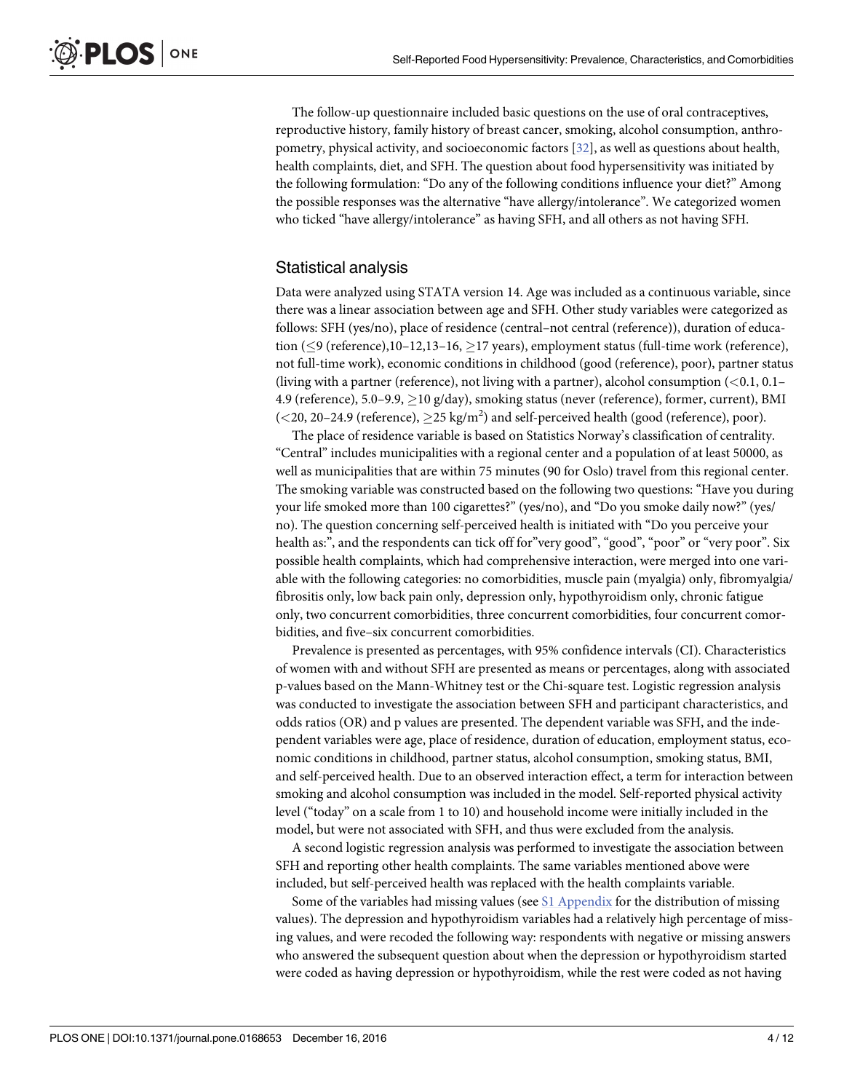<span id="page-3-0"></span>The follow-up questionnaire included basic questions on the use of oral contraceptives, reproductive history, family history of breast cancer, smoking, alcohol consumption, anthropometry, physical activity, and socioeconomic factors [\[32\]](#page-10-0), as well as questions about health, health complaints, diet, and SFH. The question about food hypersensitivity was initiated by the following formulation: "Do any of the following conditions influence your diet?" Among the possible responses was the alternative "have allergy/intolerance". We categorized women who ticked "have allergy/intolerance" as having SFH, and all others as not having SFH.

# Statistical analysis

Data were analyzed using STATA version 14. Age was included as a continuous variable, since there was a linear association between age and SFH. Other study variables were categorized as follows: SFH (yes/no), place of residence (central–not central (reference)), duration of education ( $\leq$ 9 (reference),10–12,13–16,  $\geq$ 17 years), employment status (full-time work (reference), not full-time work), economic conditions in childhood (good (reference), poor), partner status (living with a partner (reference), not living with a partner), alcohol consumption (*<*0.1, 0.1– 4.9 (reference), 5.0–9.9,  $\geq$  10 g/day), smoking status (never (reference), former, current), BMI  $(<$  20, 20–24.9 (reference),  $\geq$  25 kg/m<sup>2</sup>) and self-perceived health (good (reference), poor).

The place of residence variable is based on Statistics Norway's classification of centrality. "Central" includes municipalities with a regional center and a population of at least 50000, as well as municipalities that are within 75 minutes (90 for Oslo) travel from this regional center. The smoking variable was constructed based on the following two questions: "Have you during your life smoked more than 100 cigarettes?" (yes/no), and "Do you smoke daily now?" (yes/ no). The question concerning self-perceived health is initiated with "Do you perceive your health as:", and the respondents can tick off for "very good", "good", "poor" or "very poor". Six possible health complaints, which had comprehensive interaction, were merged into one variable with the following categories: no comorbidities, muscle pain (myalgia) only, fibromyalgia/ fibrositis only, low back pain only, depression only, hypothyroidism only, chronic fatigue only, two concurrent comorbidities, three concurrent comorbidities, four concurrent comorbidities, and five–six concurrent comorbidities.

Prevalence is presented as percentages, with 95% confidence intervals (CI). Characteristics of women with and without SFH are presented as means or percentages, along with associated p-values based on the Mann-Whitney test or the Chi-square test. Logistic regression analysis was conducted to investigate the association between SFH and participant characteristics, and odds ratios (OR) and p values are presented. The dependent variable was SFH, and the independent variables were age, place of residence, duration of education, employment status, economic conditions in childhood, partner status, alcohol consumption, smoking status, BMI, and self-perceived health. Due to an observed interaction effect, a term for interaction between smoking and alcohol consumption was included in the model. Self-reported physical activity level ("today" on a scale from 1 to 10) and household income were initially included in the model, but were not associated with SFH, and thus were excluded from the analysis.

A second logistic regression analysis was performed to investigate the association between SFH and reporting other health complaints. The same variables mentioned above were included, but self-perceived health was replaced with the health complaints variable.

Some of the variables had missing values (see  $S1$  [Appendix](#page-8-0) for the distribution of missing values). The depression and hypothyroidism variables had a relatively high percentage of missing values, and were recoded the following way: respondents with negative or missing answers who answered the subsequent question about when the depression or hypothyroidism started were coded as having depression or hypothyroidism, while the rest were coded as not having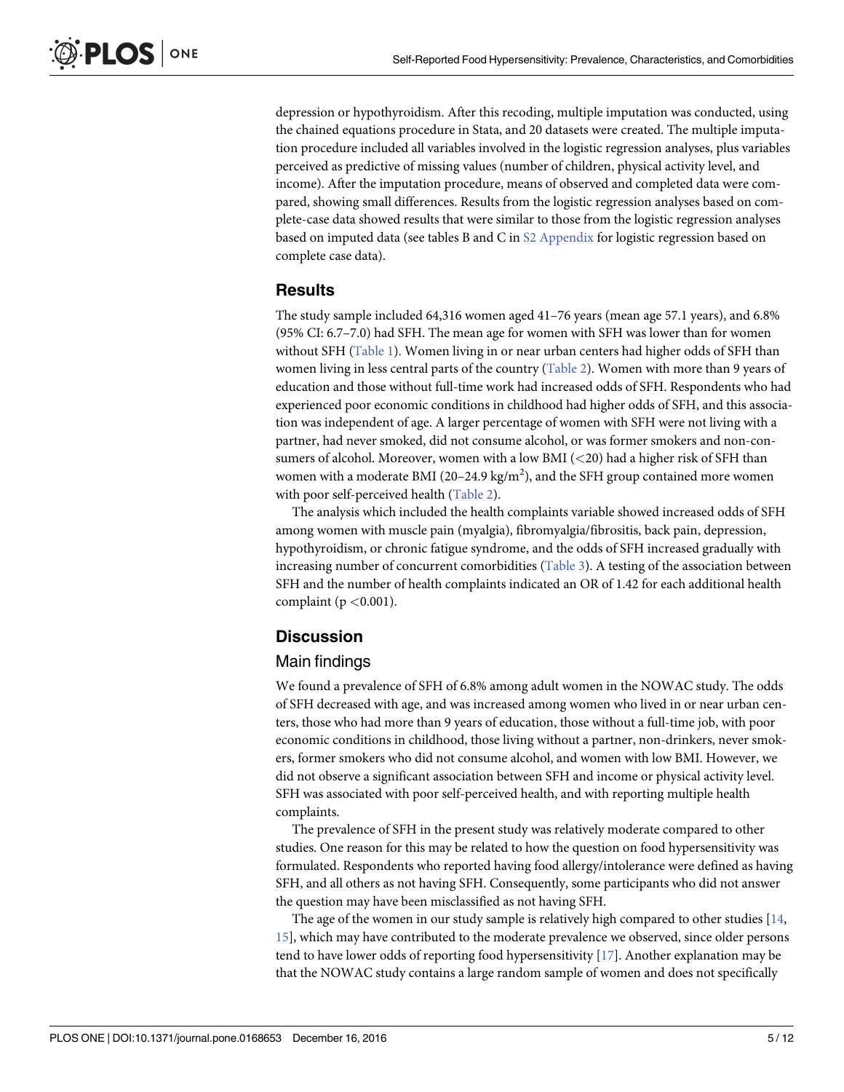<span id="page-4-0"></span>depression or hypothyroidism. After this recoding, multiple imputation was conducted, using the chained equations procedure in Stata, and 20 datasets were created. The multiple imputation procedure included all variables involved in the logistic regression analyses, plus variables perceived as predictive of missing values (number of children, physical activity level, and income). After the imputation procedure, means of observed and completed data were compared, showing small differences. Results from the logistic regression analyses based on complete-case data showed results that were similar to those from the logistic regression analyses based on imputed data (see tables B and C in S2 [Appendix](#page-8-0) for logistic regression based on complete case data).

#### **Results**

The study sample included 64,316 women aged 41–76 years (mean age 57.1 years), and 6.8% (95% CI: 6.7–7.0) had SFH. The mean age for women with SFH was lower than for women without SFH ([Table](#page-5-0) 1). Women living in or near urban centers had higher odds of SFH than women living in less central parts of the country ([Table](#page-6-0) 2). Women with more than 9 years of education and those without full-time work had increased odds of SFH. Respondents who had experienced poor economic conditions in childhood had higher odds of SFH, and this association was independent of age. A larger percentage of women with SFH were not living with a partner, had never smoked, did not consume alcohol, or was former smokers and non-consumers of alcohol. Moreover, women with a low BMI (*<*20) had a higher risk of SFH than women with a moderate BMI (20–24.9 kg/m<sup>2</sup>), and the SFH group contained more women with poor self-perceived health ([Table](#page-6-0) 2).

The analysis which included the health complaints variable showed increased odds of SFH among women with muscle pain (myalgia), fibromyalgia/fibrositis, back pain, depression, hypothyroidism, or chronic fatigue syndrome, and the odds of SFH increased gradually with increasing number of concurrent comorbidities [\(Table](#page-7-0) 3). A testing of the association between SFH and the number of health complaints indicated an OR of 1.42 for each additional health complaint (p *<*0.001).

# **Discussion**

#### Main findings

We found a prevalence of SFH of 6.8% among adult women in the NOWAC study. The odds of SFH decreased with age, and was increased among women who lived in or near urban centers, those who had more than 9 years of education, those without a full-time job, with poor economic conditions in childhood, those living without a partner, non-drinkers, never smokers, former smokers who did not consume alcohol, and women with low BMI. However, we did not observe a significant association between SFH and income or physical activity level. SFH was associated with poor self-perceived health, and with reporting multiple health complaints.

The prevalence of SFH in the present study was relatively moderate compared to other studies. One reason for this may be related to how the question on food hypersensitivity was formulated. Respondents who reported having food allergy/intolerance were defined as having SFH, and all others as not having SFH. Consequently, some participants who did not answer the question may have been misclassified as not having SFH.

The age of the women in our study sample is relatively high compared to other studies [\[14,](#page-9-0) [15\]](#page-10-0), which may have contributed to the moderate prevalence we observed, since older persons tend to have lower odds of reporting food hypersensitivity [\[17\]](#page-10-0). Another explanation may be that the NOWAC study contains a large random sample of women and does not specifically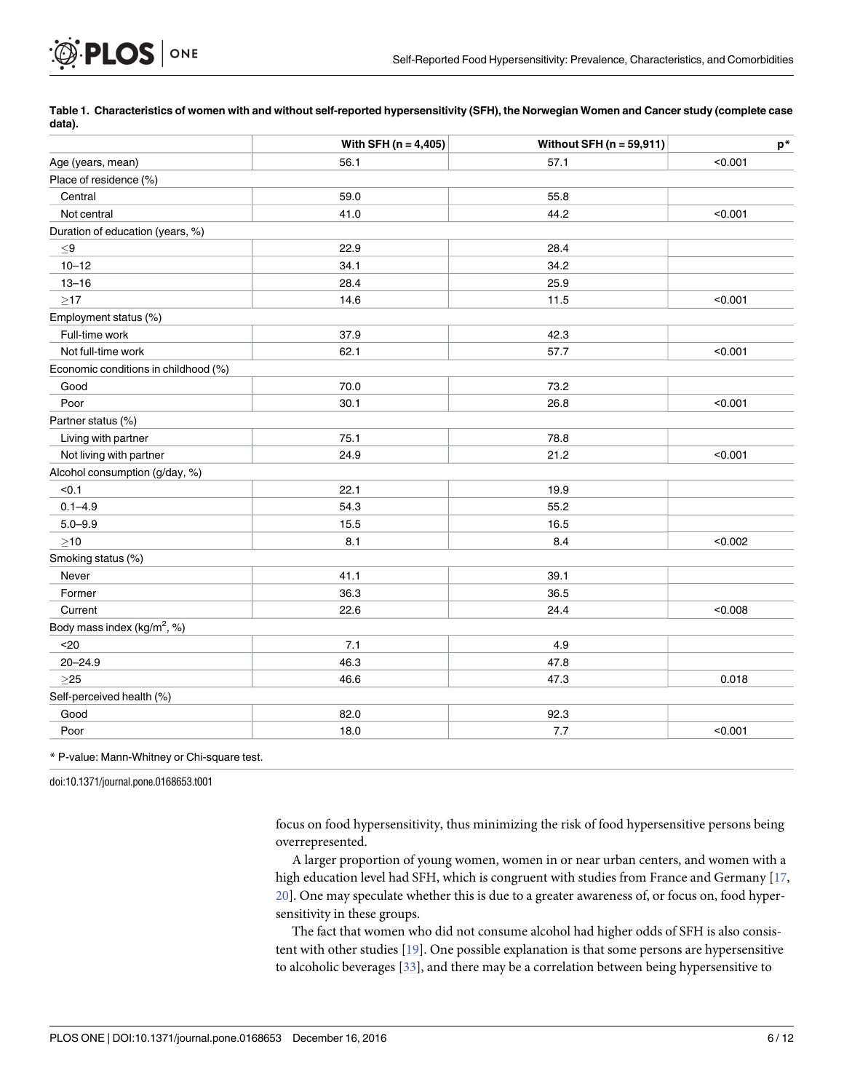|                                         | With SFH $(n = 4, 405)$ | Without SFH ( $n = 59,911$ ) | $\mathsf{p}^*$ |
|-----------------------------------------|-------------------------|------------------------------|----------------|
| Age (years, mean)                       | 56.1                    | 57.1                         | < 0.001        |
| Place of residence (%)                  |                         |                              |                |
| Central                                 | 59.0                    | 55.8                         |                |
| Not central                             | 41.0                    | 44.2                         | < 0.001        |
| Duration of education (years, %)        |                         |                              |                |
| $\leq$ 9                                | 22.9                    | 28.4                         |                |
| $10 - 12$                               | 34.1                    | 34.2                         |                |
| $13 - 16$                               | 28.4                    | 25.9                         |                |
| $\geq$ 17                               | 14.6                    | 11.5                         | < 0.001        |
| Employment status (%)                   |                         |                              |                |
| Full-time work                          | 37.9                    | 42.3                         |                |
| Not full-time work                      | 62.1                    | 57.7                         | < 0.001        |
| Economic conditions in childhood (%)    |                         |                              |                |
| Good                                    | 70.0                    | 73.2                         |                |
| Poor                                    | 30.1                    | 26.8                         | < 0.001        |
| Partner status (%)                      |                         |                              |                |
| Living with partner                     | 75.1                    | 78.8                         |                |
| Not living with partner                 | 24.9                    | 21.2                         | < 0.001        |
| Alcohol consumption (g/day, %)          |                         |                              |                |
| < 0.1                                   | 22.1                    | 19.9                         |                |
| $0.1 - 4.9$                             | 54.3                    | 55.2                         |                |
| $5.0 - 9.9$                             | 15.5                    | 16.5                         |                |
| $\geq$ 10                               | 8.1                     | 8.4                          | < 0.002        |
| Smoking status (%)                      |                         |                              |                |
| Never                                   | 41.1                    | 39.1                         |                |
| Former                                  | 36.3                    | 36.5                         |                |
| Current                                 | 22.6                    | 24.4                         | < 0.008        |
| Body mass index (kg/m <sup>2</sup> , %) |                         |                              |                |
| $20$                                    | 7.1                     | 4.9                          |                |
| $20 - 24.9$                             | 46.3                    | 47.8                         |                |
| $>25$                                   | 46.6                    | 47.3                         | 0.018          |
| Self-perceived health (%)               |                         |                              |                |
| Good                                    | 82.0                    | 92.3                         |                |
| Poor                                    | 18.0                    | 7.7                          | < 0.001        |

[Table](#page-4-0) 1. Characteristics of women with and without self-reported hypersensitivity (SFH), the Norwegian Women and Cancer study (complete case **data).**

doi:10.1371/journal.pone.0168653.t001

<span id="page-5-0"></span>**PLOS** ONE

focus on food hypersensitivity, thus minimizing the risk of food hypersensitive persons being overrepresented.

A larger proportion of young women, women in or near urban centers, and women with a high education level had SFH, which is congruent with studies from France and Germany [[17](#page-10-0), [20\]](#page-10-0). One may speculate whether this is due to a greater awareness of, or focus on, food hypersensitivity in these groups.

The fact that women who did not consume alcohol had higher odds of SFH is also consistent with other studies [[19](#page-10-0)]. One possible explanation is that some persons are hypersensitive to alcoholic beverages [[33](#page-10-0)], and there may be a correlation between being hypersensitive to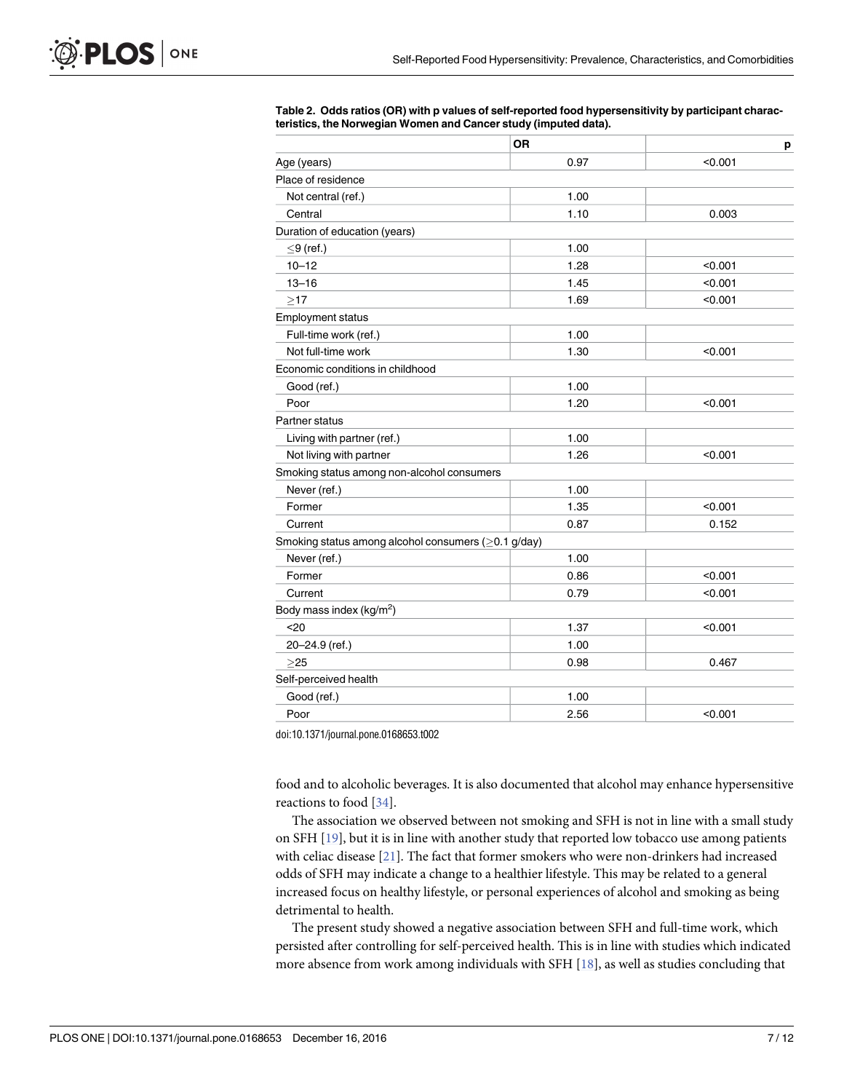|                                                     | <b>OR</b> | р       |
|-----------------------------------------------------|-----------|---------|
| Age (years)                                         | 0.97      | < 0.001 |
| Place of residence                                  |           |         |
| Not central (ref.)                                  | 1.00      |         |
| Central                                             | 1.10      | 0.003   |
| Duration of education (years)                       |           |         |
| $\leq$ 9 (ref.)                                     | 1.00      |         |
| $10 - 12$                                           | 1.28      | < 0.001 |
| $13 - 16$                                           | 1.45      | < 0.001 |
| >17                                                 | 1.69      | < 0.001 |
| <b>Employment status</b>                            |           |         |
| Full-time work (ref.)                               | 1.00      |         |
| Not full-time work                                  | 1.30      | < 0.001 |
| Economic conditions in childhood                    |           |         |
| Good (ref.)                                         | 1.00      |         |
| Poor                                                | 1.20      | < 0.001 |
| <b>Partner status</b>                               |           |         |
| Living with partner (ref.)                          | 1.00      |         |
| Not living with partner                             | 1.26      | < 0.001 |
| Smoking status among non-alcohol consumers          |           |         |
| Never (ref.)                                        | 1.00      |         |
| Former                                              | 1.35      | < 0.001 |
| Current                                             | 0.87      | 0.152   |
| Smoking status among alcohol consumers (≥0.1 g/day) |           |         |
| Never (ref.)                                        | 1.00      |         |
| Former                                              | 0.86      | < 0.001 |
| Current                                             | 0.79      | < 0.001 |
| Body mass index (kg/m <sup>2</sup> )                |           |         |
| $20$                                                | 1.37      | < 0.001 |
| 20-24.9 (ref.)                                      | 1.00      |         |
| $>25$                                               | 0.98      | 0.467   |
| Self-perceived health                               |           |         |
| Good (ref.)                                         | 1.00      |         |
| Poor                                                | 2.56      | < 0.001 |

<span id="page-6-0"></span>**[Table](#page-4-0) 2. Odds ratios (OR) with p values of self-reported food hypersensitivity by participant characteristics, the Norwegian Women and Cancer study (imputed data).**

doi:10.1371/journal.pone.0168653.t002

food and to alcoholic beverages. It is also documented that alcohol may enhance hypersensitive reactions to food [[34](#page-10-0)].

The association we observed between not smoking and SFH is not in line with a small study on SFH [\[19\]](#page-10-0), but it is in line with another study that reported low tobacco use among patients with celiac disease [[21](#page-10-0)]. The fact that former smokers who were non-drinkers had increased odds of SFH may indicate a change to a healthier lifestyle. This may be related to a general increased focus on healthy lifestyle, or personal experiences of alcohol and smoking as being detrimental to health.

The present study showed a negative association between SFH and full-time work, which persisted after controlling for self-perceived health. This is in line with studies which indicated more absence from work among individuals with SFH [\[18\]](#page-10-0), as well as studies concluding that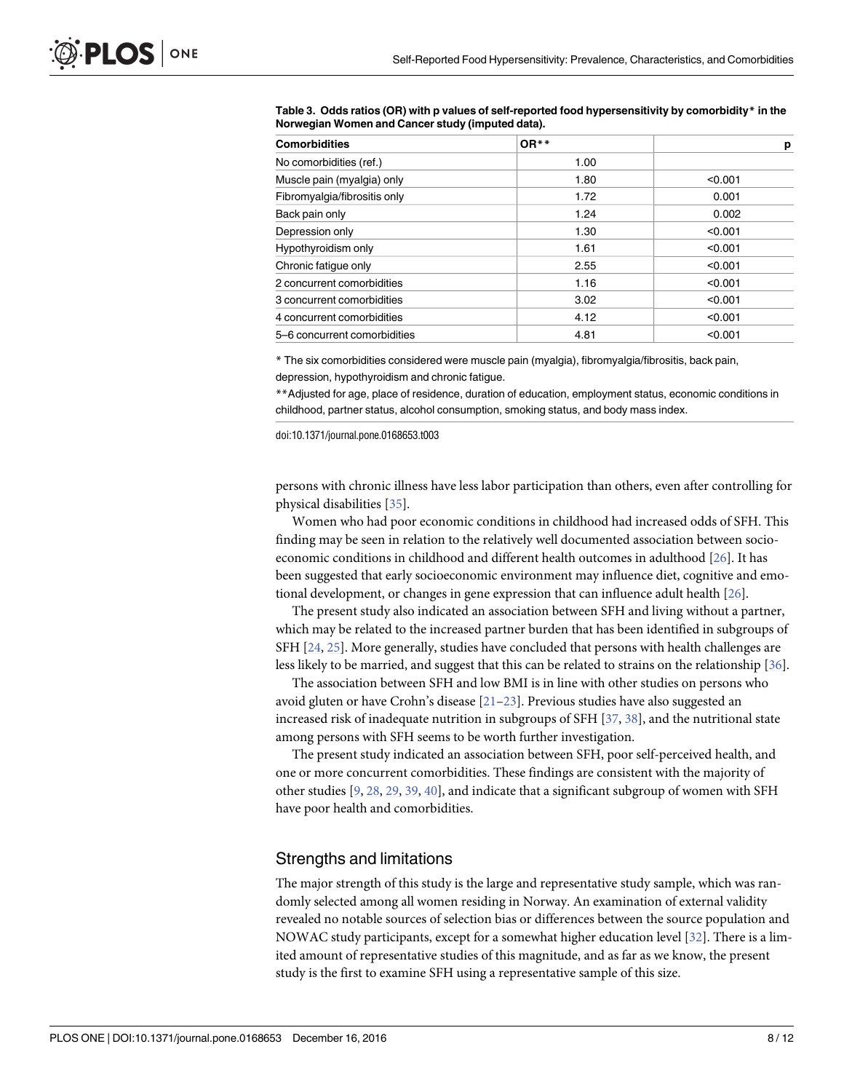| <b>Comorbidities</b>         | $OR**$ | p       |
|------------------------------|--------|---------|
| No comorbidities (ref.)      | 1.00   |         |
| Muscle pain (myalgia) only   | 1.80   | < 0.001 |
| Fibromyalgia/fibrositis only | 1.72   | 0.001   |
| Back pain only               | 1.24   | 0.002   |
| Depression only              | 1.30   | < 0.001 |
| Hypothyroidism only          | 1.61   | < 0.001 |
| Chronic fatique only         | 2.55   | < 0.001 |
| 2 concurrent comorbidities   | 1.16   | < 0.001 |
| 3 concurrent comorbidities   | 3.02   | < 0.001 |
| 4 concurrent comorbidities   | 4.12   | < 0.001 |
| 5-6 concurrent comorbidities | 4.81   | < 0.001 |

<span id="page-7-0"></span>**[Table](#page-4-0) 3. Odds ratios (OR) with p values of self-reported food hypersensitivity by comorbidity\* in the Norwegian Women and Cancer study (imputed data).**

\* The six comorbidities considered were muscle pain (myalgia), fibromyalgia/fibrositis, back pain, depression, hypothyroidism and chronic fatigue.

\*\*Adjusted for age, place of residence, duration of education, employment status, economic conditions in childhood, partner status, alcohol consumption, smoking status, and body mass index.

doi:10.1371/journal.pone.0168653.t003

persons with chronic illness have less labor participation than others, even after controlling for physical disabilities [\[35\]](#page-10-0).

Women who had poor economic conditions in childhood had increased odds of SFH. This finding may be seen in relation to the relatively well documented association between socioeconomic conditions in childhood and different health outcomes in adulthood [[26](#page-10-0)]. It has been suggested that early socioeconomic environment may influence diet, cognitive and emotional development, or changes in gene expression that can influence adult health [\[26\]](#page-10-0).

The present study also indicated an association between SFH and living without a partner, which may be related to the increased partner burden that has been identified in subgroups of SFH [\[24,](#page-10-0) [25\]](#page-10-0). More generally, studies have concluded that persons with health challenges are less likely to be married, and suggest that this can be related to strains on the relationship [[36](#page-11-0)].

The association between SFH and low BMI is in line with other studies on persons who avoid gluten or have Crohn's disease [[21–23\]](#page-10-0). Previous studies have also suggested an increased risk of inadequate nutrition in subgroups of SFH [\[37,](#page-11-0) [38\]](#page-11-0), and the nutritional state among persons with SFH seems to be worth further investigation.

The present study indicated an association between SFH, poor self-perceived health, and one or more concurrent comorbidities. These findings are consistent with the majority of other studies [[9,](#page-9-0) [28](#page-10-0), [29](#page-10-0), [39](#page-11-0), [40](#page-11-0)], and indicate that a significant subgroup of women with SFH have poor health and comorbidities.

#### Strengths and limitations

The major strength of this study is the large and representative study sample, which was randomly selected among all women residing in Norway. An examination of external validity revealed no notable sources of selection bias or differences between the source population and NOWAC study participants, except for a somewhat higher education level [\[32\]](#page-10-0). There is a limited amount of representative studies of this magnitude, and as far as we know, the present study is the first to examine SFH using a representative sample of this size.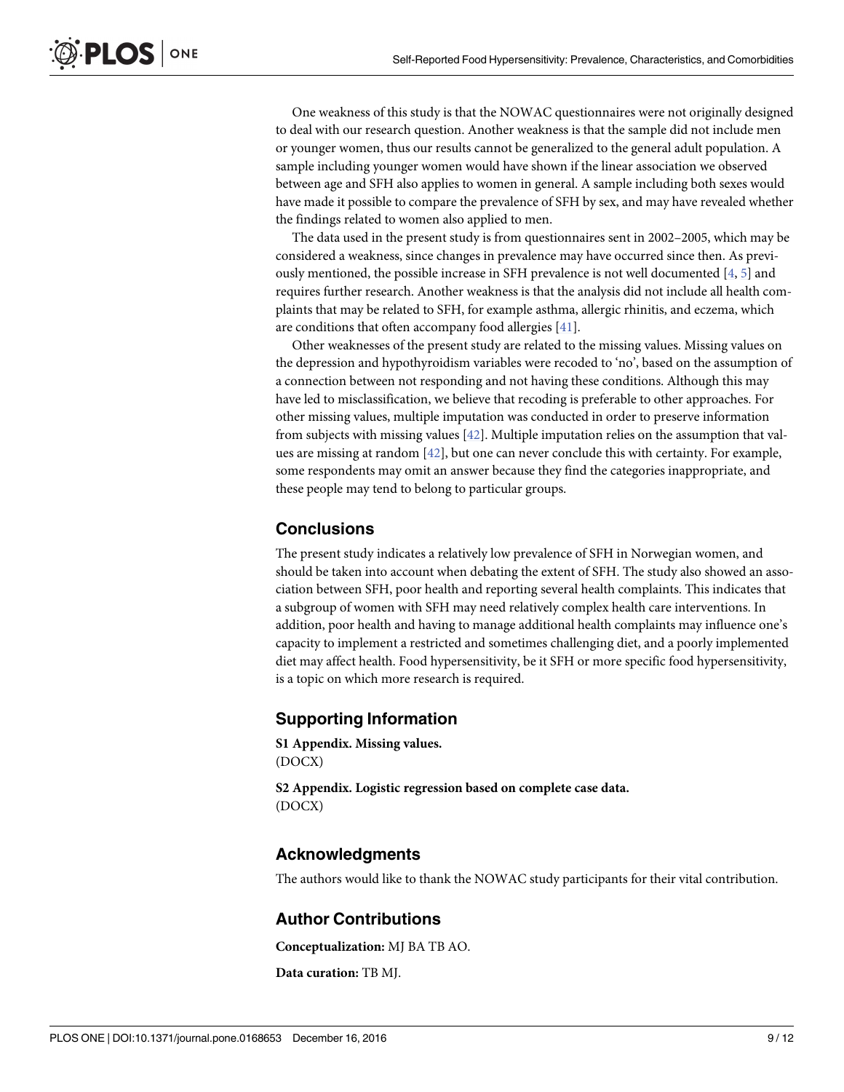<span id="page-8-0"></span>One weakness of this study is that the NOWAC questionnaires were not originally designed to deal with our research question. Another weakness is that the sample did not include men or younger women, thus our results cannot be generalized to the general adult population. A sample including younger women would have shown if the linear association we observed between age and SFH also applies to women in general. A sample including both sexes would have made it possible to compare the prevalence of SFH by sex, and may have revealed whether the findings related to women also applied to men.

The data used in the present study is from questionnaires sent in 2002–2005, which may be considered a weakness, since changes in prevalence may have occurred since then. As previously mentioned, the possible increase in SFH prevalence is not well documented [\[4,](#page-9-0) [5](#page-9-0)] and requires further research. Another weakness is that the analysis did not include all health complaints that may be related to SFH, for example asthma, allergic rhinitis, and eczema, which are conditions that often accompany food allergies [\[41\]](#page-11-0).

Other weaknesses of the present study are related to the missing values. Missing values on the depression and hypothyroidism variables were recoded to 'no', based on the assumption of a connection between not responding and not having these conditions. Although this may have led to misclassification, we believe that recoding is preferable to other approaches. For other missing values, multiple imputation was conducted in order to preserve information from subjects with missing values [[42](#page-11-0)]. Multiple imputation relies on the assumption that values are missing at random [\[42\]](#page-11-0), but one can never conclude this with certainty. For example, some respondents may omit an answer because they find the categories inappropriate, and these people may tend to belong to particular groups.

## **Conclusions**

The present study indicates a relatively low prevalence of SFH in Norwegian women, and should be taken into account when debating the extent of SFH. The study also showed an association between SFH, poor health and reporting several health complaints. This indicates that a subgroup of women with SFH may need relatively complex health care interventions. In addition, poor health and having to manage additional health complaints may influence one's capacity to implement a restricted and sometimes challenging diet, and a poorly implemented diet may affect health. Food hypersensitivity, be it SFH or more specific food hypersensitivity, is a topic on which more research is required.

# **Supporting Information**

**S1 [Appendix](http://www.plosone.org/article/fetchSingleRepresentation.action?uri=info:doi/10.1371/journal.pone.0168653.s001). Missing values.** (DOCX)

**S2 [Appendix](http://www.plosone.org/article/fetchSingleRepresentation.action?uri=info:doi/10.1371/journal.pone.0168653.s002). Logistic regression based on complete case data.** (DOCX)

## **Acknowledgments**

The authors would like to thank the NOWAC study participants for their vital contribution.

## **Author Contributions**

**Conceptualization:** MJ BA TB AO.

**Data curation:** TB MJ.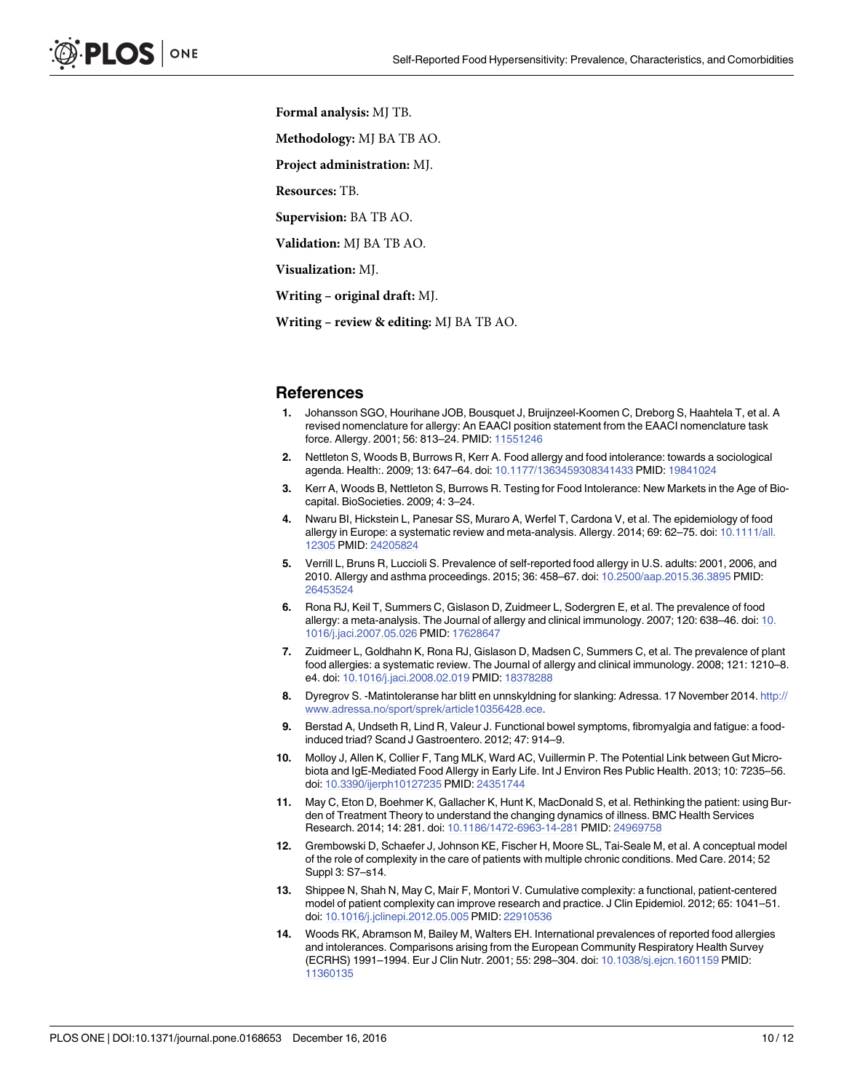<span id="page-9-0"></span>**Formal analysis:** MJ TB.

**Methodology:** MJ BA TB AO.

**Project administration:** MJ.

**Resources:** TB.

**Supervision:** BA TB AO.

**Validation:** MJ BA TB AO.

**Visualization:** MJ.

**Writing – original draft:** MJ.

**Writing – review & editing:** MJ BA TB AO.

#### **References**

- **[1](#page-1-0).** Johansson SGO, Hourihane JOB, Bousquet J, Bruijnzeel-Koomen C, Dreborg S, Haahtela T, et al. A revised nomenclature for allergy: An EAACI position statement from the EAACI nomenclature task force. Allergy. 2001; 56: 813–24. PMID: [11551246](http://www.ncbi.nlm.nih.gov/pubmed/11551246)
- **[2](#page-1-0).** Nettleton S, Woods B, Burrows R, Kerr A. Food allergy and food intolerance: towards a sociological agenda. Health:. 2009; 13: 647–64. doi: [10.1177/1363459308341433](http://dx.doi.org/10.1177/1363459308341433) PMID: [19841024](http://www.ncbi.nlm.nih.gov/pubmed/19841024)
- **[3](#page-1-0).** Kerr A, Woods B, Nettleton S, Burrows R. Testing for Food Intolerance: New Markets in the Age of Biocapital. BioSocieties. 2009; 4: 3–24.
- **[4](#page-1-0).** Nwaru BI, Hickstein L, Panesar SS, Muraro A, Werfel T, Cardona V, et al. The epidemiology of food allergy in Europe: a systematic review and meta-analysis. Allergy. 2014; 69: 62–75. doi: [10.1111/all.](http://dx.doi.org/10.1111/all.12305) [12305](http://dx.doi.org/10.1111/all.12305) PMID: [24205824](http://www.ncbi.nlm.nih.gov/pubmed/24205824)
- **[5](#page-1-0).** Verrill L, Bruns R, Luccioli S. Prevalence of self-reported food allergy in U.S. adults: 2001, 2006, and 2010. Allergy and asthma proceedings. 2015; 36: 458–67. doi: [10.2500/aap.2015.36.3895](http://dx.doi.org/10.2500/aap.2015.36.3895) PMID: [26453524](http://www.ncbi.nlm.nih.gov/pubmed/26453524)
- **[6](#page-1-0).** Rona RJ, Keil T, Summers C, Gislason D, Zuidmeer L, Sodergren E, et al. The prevalence of food allergy: a meta-analysis. The Journal of allergy and clinical immunology. 2007; 120: 638–46. doi: [10.](http://dx.doi.org/10.1016/j.jaci.2007.05.026) [1016/j.jaci.2007.05.026](http://dx.doi.org/10.1016/j.jaci.2007.05.026) PMID: [17628647](http://www.ncbi.nlm.nih.gov/pubmed/17628647)
- **[7](#page-1-0).** Zuidmeer L, Goldhahn K, Rona RJ, Gislason D, Madsen C, Summers C, et al. The prevalence of plant food allergies: a systematic review. The Journal of allergy and clinical immunology. 2008; 121: 1210–8. e4. doi: [10.1016/j.jaci.2008.02.019](http://dx.doi.org/10.1016/j.jaci.2008.02.019) PMID: [18378288](http://www.ncbi.nlm.nih.gov/pubmed/18378288)
- **[8](#page-1-0).** Dyregrov S. -Matintoleranse har blitt en unnskyldning for slanking: Adressa. 17 November 2014. [http://](http://www.adressa.no/sport/sprek/article10356428.ece) [www.adressa.no/sport/sprek/article10356428.ece.](http://www.adressa.no/sport/sprek/article10356428.ece)
- **[9](#page-1-0).** Berstad A, Undseth R, Lind R, Valeur J. Functional bowel symptoms, fibromyalgia and fatigue: a foodinduced triad? Scand J Gastroentero. 2012; 47: 914–9.
- **[10](#page-1-0).** Molloy J, Allen K, Collier F, Tang MLK, Ward AC, Vuillermin P. The Potential Link between Gut Microbiota and IgE-Mediated Food Allergy in Early Life. Int J Environ Res Public Health. 2013; 10: 7235–56. doi: [10.3390/ijerph10127235](http://dx.doi.org/10.3390/ijerph10127235) PMID: [24351744](http://www.ncbi.nlm.nih.gov/pubmed/24351744)
- **[11](#page-1-0).** May C, Eton D, Boehmer K, Gallacher K, Hunt K, MacDonald S, et al. Rethinking the patient: using Burden of Treatment Theory to understand the changing dynamics of illness. BMC Health Services Research. 2014; 14: 281. doi: [10.1186/1472-6963-14-281](http://dx.doi.org/10.1186/1472-6963-14-281) PMID: [24969758](http://www.ncbi.nlm.nih.gov/pubmed/24969758)
- **12.** Grembowski D, Schaefer J, Johnson KE, Fischer H, Moore SL, Tai-Seale M, et al. A conceptual model of the role of complexity in the care of patients with multiple chronic conditions. Med Care. 2014; 52 Suppl 3: S7–s14.
- **[13](#page-1-0).** Shippee N, Shah N, May C, Mair F, Montori V. Cumulative complexity: a functional, patient-centered model of patient complexity can improve research and practice. J Clin Epidemiol. 2012; 65: 1041–51. doi: [10.1016/j.jclinepi.2012.05.005](http://dx.doi.org/10.1016/j.jclinepi.2012.05.005) PMID: [22910536](http://www.ncbi.nlm.nih.gov/pubmed/22910536)
- **[14](#page-1-0).** Woods RK, Abramson M, Bailey M, Walters EH. International prevalences of reported food allergies and intolerances. Comparisons arising from the European Community Respiratory Health Survey (ECRHS) 1991–1994. Eur J Clin Nutr. 2001; 55: 298–304. doi: [10.1038/sj.ejcn.1601159](http://dx.doi.org/10.1038/sj.ejcn.1601159) PMID: [11360135](http://www.ncbi.nlm.nih.gov/pubmed/11360135)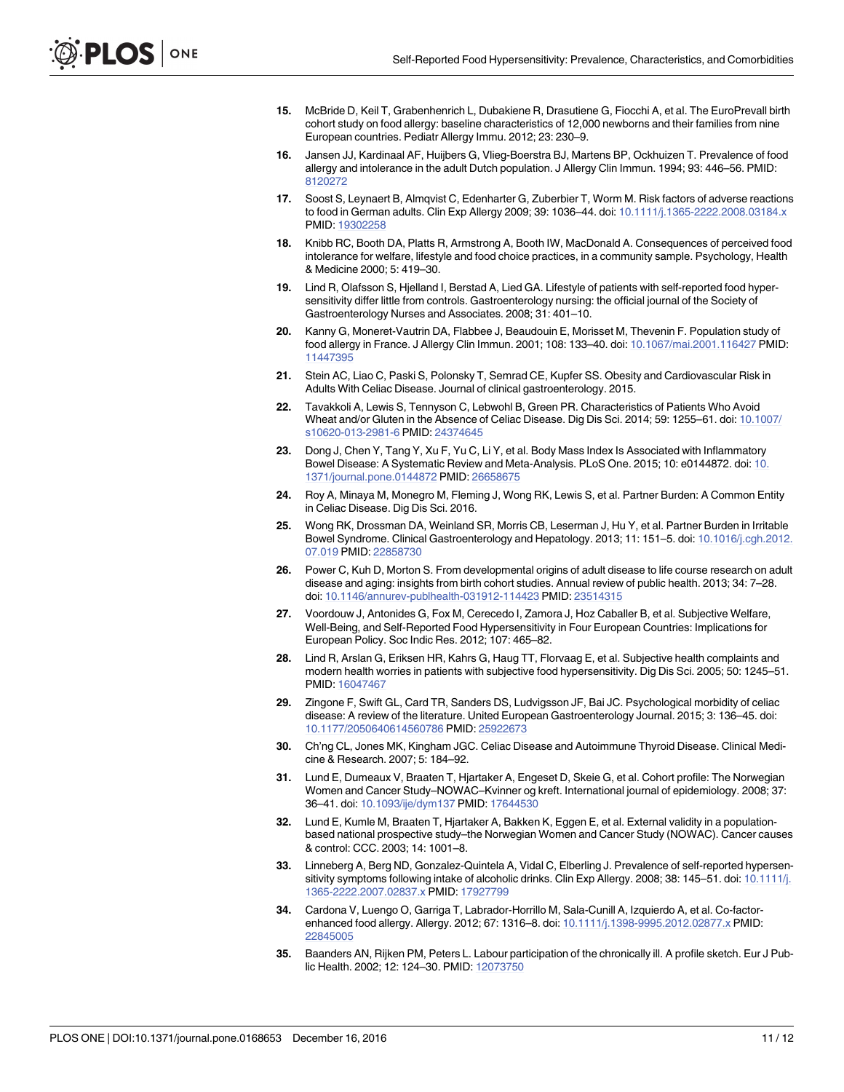- <span id="page-10-0"></span>**[15](#page-1-0).** McBride D, Keil T, Grabenhenrich L, Dubakiene R, Drasutiene G, Fiocchi A, et al. The EuroPrevall birth cohort study on food allergy: baseline characteristics of 12,000 newborns and their families from nine European countries. Pediatr Allergy Immu. 2012; 23: 230–9.
- **[16](#page-1-0).** Jansen JJ, Kardinaal AF, Huijbers G, Vlieg-Boerstra BJ, Martens BP, Ockhuizen T. Prevalence of food allergy and intolerance in the adult Dutch population. J Allergy Clin Immun. 1994; 93: 446–56. PMID: [8120272](http://www.ncbi.nlm.nih.gov/pubmed/8120272)
- **[17](#page-1-0).** Soost S, Leynaert B, Almqvist C, Edenharter G, Zuberbier T, Worm M. Risk factors of adverse reactions to food in German adults. Clin Exp Allergy 2009; 39: 1036-44. doi: [10.1111/j.1365-2222.2008.03184.x](http://dx.doi.org/10.1111/j.1365-2222.2008.03184.x) PMID: [19302258](http://www.ncbi.nlm.nih.gov/pubmed/19302258)
- **[18](#page-1-0).** Knibb RC, Booth DA, Platts R, Armstrong A, Booth IW, MacDonald A. Consequences of perceived food intolerance for welfare, lifestyle and food choice practices, in a community sample. Psychology, Health & Medicine 2000; 5: 419–30.
- **[19](#page-2-0).** Lind R, Olafsson S, Hjelland I, Berstad A, Lied GA. Lifestyle of patients with self-reported food hypersensitivity differ little from controls. Gastroenterology nursing: the official journal of the Society of Gastroenterology Nurses and Associates. 2008; 31: 401–10.
- **[20](#page-2-0).** Kanny G, Moneret-Vautrin DA, Flabbee J, Beaudouin E, Morisset M, Thevenin F. Population study of food allergy in France. J Allergy Clin Immun. 2001; 108: 133–40. doi: [10.1067/mai.2001.116427](http://dx.doi.org/10.1067/mai.2001.116427) PMID: [11447395](http://www.ncbi.nlm.nih.gov/pubmed/11447395)
- **[21](#page-2-0).** Stein AC, Liao C, Paski S, Polonsky T, Semrad CE, Kupfer SS. Obesity and Cardiovascular Risk in Adults With Celiac Disease. Journal of clinical gastroenterology. 2015.
- **22.** Tavakkoli A, Lewis S, Tennyson C, Lebwohl B, Green PR. Characteristics of Patients Who Avoid Wheat and/or Gluten in the Absence of Celiac Disease. Dig Dis Sci. 2014; 59: 1255–61. doi: [10.1007/](http://dx.doi.org/10.1007/s10620-013-2981-6) [s10620-013-2981-6](http://dx.doi.org/10.1007/s10620-013-2981-6) PMID: [24374645](http://www.ncbi.nlm.nih.gov/pubmed/24374645)
- **[23](#page-2-0).** Dong J, Chen Y, Tang Y, Xu F, Yu C, Li Y, et al. Body Mass Index Is Associated with Inflammatory Bowel Disease: A Systematic Review and Meta-Analysis. PLoS One. 2015; 10: e0144872. doi: [10.](http://dx.doi.org/10.1371/journal.pone.0144872) [1371/journal.pone.0144872](http://dx.doi.org/10.1371/journal.pone.0144872) PMID: [26658675](http://www.ncbi.nlm.nih.gov/pubmed/26658675)
- **[24](#page-2-0).** Roy A, Minaya M, Monegro M, Fleming J, Wong RK, Lewis S, et al. Partner Burden: A Common Entity in Celiac Disease. Dig Dis Sci. 2016.
- **[25](#page-2-0).** Wong RK, Drossman DA, Weinland SR, Morris CB, Leserman J, Hu Y, et al. Partner Burden in Irritable Bowel Syndrome. Clinical Gastroenterology and Hepatology. 2013; 11: 151–5. doi: [10.1016/j.cgh.2012.](http://dx.doi.org/10.1016/j.cgh.2012.07.019) [07.019](http://dx.doi.org/10.1016/j.cgh.2012.07.019) PMID: [22858730](http://www.ncbi.nlm.nih.gov/pubmed/22858730)
- **[26](#page-2-0).** Power C, Kuh D, Morton S. From developmental origins of adult disease to life course research on adult disease and aging: insights from birth cohort studies. Annual review of public health. 2013; 34: 7–28. doi: [10.1146/annurev-publhealth-031912-114423](http://dx.doi.org/10.1146/annurev-publhealth-031912-114423) PMID: [23514315](http://www.ncbi.nlm.nih.gov/pubmed/23514315)
- **[27](#page-2-0).** Voordouw J, Antonides G, Fox M, Cerecedo I, Zamora J, Hoz Caballer B, et al. Subjective Welfare, Well-Being, and Self-Reported Food Hypersensitivity in Four European Countries: Implications for European Policy. Soc Indic Res. 2012; 107: 465–82.
- **[28](#page-2-0).** Lind R, Arslan G, Eriksen HR, Kahrs G, Haug TT, Florvaag E, et al. Subjective health complaints and modern health worries in patients with subjective food hypersensitivity. Dig Dis Sci. 2005; 50: 1245–51. PMID: [16047467](http://www.ncbi.nlm.nih.gov/pubmed/16047467)
- **[29](#page-2-0).** Zingone F, Swift GL, Card TR, Sanders DS, Ludvigsson JF, Bai JC. Psychological morbidity of celiac disease: A review of the literature. United European Gastroenterology Journal. 2015; 3: 136–45. doi: [10.1177/2050640614560786](http://dx.doi.org/10.1177/2050640614560786) PMID: [25922673](http://www.ncbi.nlm.nih.gov/pubmed/25922673)
- **[30](#page-2-0).** Ch'ng CL, Jones MK, Kingham JGC. Celiac Disease and Autoimmune Thyroid Disease. Clinical Medicine & Research. 2007; 5: 184–92.
- **[31](#page-2-0).** Lund E, Dumeaux V, Braaten T, Hjartaker A, Engeset D, Skeie G, et al. Cohort profile: The Norwegian Women and Cancer Study–NOWAC–Kvinner og kreft. International journal of epidemiology. 2008; 37: 36–41. doi: [10.1093/ije/dym137](http://dx.doi.org/10.1093/ije/dym137) PMID: [17644530](http://www.ncbi.nlm.nih.gov/pubmed/17644530)
- **[32](#page-3-0).** Lund E, Kumle M, Braaten T, Hjartaker A, Bakken K, Eggen E, et al. External validity in a populationbased national prospective study–the Norwegian Women and Cancer Study (NOWAC). Cancer causes & control: CCC. 2003; 14: 1001–8.
- **[33](#page-5-0).** Linneberg A, Berg ND, Gonzalez-Quintela A, Vidal C, Elberling J. Prevalence of self-reported hypersen-sitivity symptoms following intake of alcoholic drinks. Clin Exp Allergy. 2008; 38: 145–51. doi: [10.1111/j.](http://dx.doi.org/10.1111/j.1365-2222.2007.02837.x) [1365-2222.2007.02837.x](http://dx.doi.org/10.1111/j.1365-2222.2007.02837.x) PMID: [17927799](http://www.ncbi.nlm.nih.gov/pubmed/17927799)
- **[34](#page-6-0).** Cardona V, Luengo O, Garriga T, Labrador-Horrillo M, Sala-Cunill A, Izquierdo A, et al. Co-factorenhanced food allergy. Allergy. 2012; 67: 1316–8. doi: [10.1111/j.1398-9995.2012.02877.x](http://dx.doi.org/10.1111/j.1398-9995.2012.02877.x) PMID: [22845005](http://www.ncbi.nlm.nih.gov/pubmed/22845005)
- **[35](#page-7-0).** Baanders AN, Rijken PM, Peters L. Labour participation of the chronically ill. A profile sketch. Eur J Public Health. 2002; 12: 124–30. PMID: [12073750](http://www.ncbi.nlm.nih.gov/pubmed/12073750)